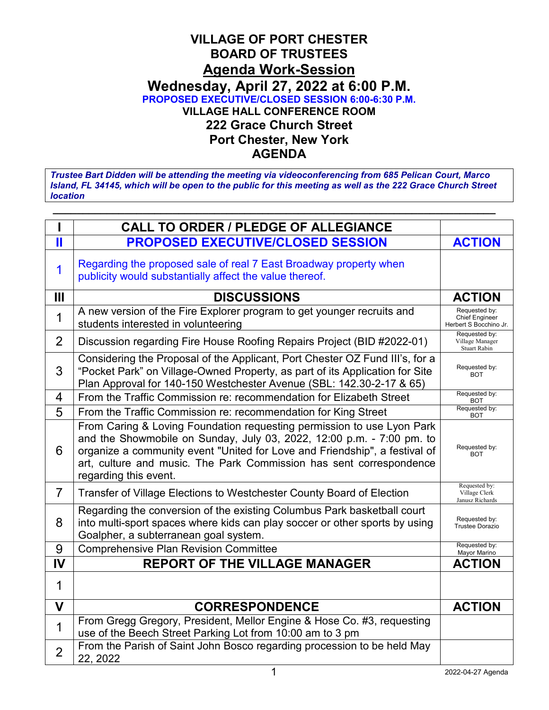## **VILLAGE OF PORT CHESTER BOARD OF TRUSTEES Agenda Work-Session Wednesday, April 27, 2022 at 6:00 P.M. PROPOSED EXECUTIVE/CLOSED SESSION 6:00-6:30 P.M. VILLAGE HALL CONFERENCE ROOM 222 Grace Church Street Port Chester, New York AGENDA**

*Trustee Bart Didden will be attending the meeting via videoconferencing from 685 Pelican Court, Marco Island, FL 34145, which will be open to the public for this meeting as well as the 222 Grace Church Street location*

|                       | <b>CALL TO ORDER / PLEDGE OF ALLEGIANCE</b>                                                                                                                                                                                                                                                                                   |                                                                  |
|-----------------------|-------------------------------------------------------------------------------------------------------------------------------------------------------------------------------------------------------------------------------------------------------------------------------------------------------------------------------|------------------------------------------------------------------|
| $\mathbf{\mathsf{I}}$ | <b>PROPOSED EXECUTIVE/CLOSED SESSION</b>                                                                                                                                                                                                                                                                                      | <b>ACTION</b>                                                    |
| 1                     | Regarding the proposed sale of real 7 East Broadway property when<br>publicity would substantially affect the value thereof.                                                                                                                                                                                                  |                                                                  |
| Ш                     | <b>DISCUSSIONS</b>                                                                                                                                                                                                                                                                                                            | <b>ACTION</b>                                                    |
| 1                     | A new version of the Fire Explorer program to get younger recruits and<br>students interested in volunteering                                                                                                                                                                                                                 | Requested by:<br><b>Chief Engineer</b><br>Herbert S Bocchino Jr. |
| $\overline{2}$        | Discussion regarding Fire House Roofing Repairs Project (BID #2022-01)                                                                                                                                                                                                                                                        | Requested by:<br>Village Manager<br><b>Stuart Rabin</b>          |
| 3                     | Considering the Proposal of the Applicant, Port Chester OZ Fund III's, for a<br>"Pocket Park" on Village-Owned Property, as part of its Application for Site<br>Plan Approval for 140-150 Westchester Avenue (SBL: 142.30-2-17 & 65)                                                                                          | Requested by:<br><b>BOT</b>                                      |
| 4                     | From the Traffic Commission re: recommendation for Elizabeth Street                                                                                                                                                                                                                                                           | Requested by:<br><b>BOT</b>                                      |
| 5                     | From the Traffic Commission re: recommendation for King Street                                                                                                                                                                                                                                                                | Requested by:<br><b>BOT</b>                                      |
| 6                     | From Caring & Loving Foundation requesting permission to use Lyon Park<br>and the Showmobile on Sunday, July 03, 2022, 12:00 p.m. - 7:00 pm. to<br>organize a community event "United for Love and Friendship", a festival of<br>art, culture and music. The Park Commission has sent correspondence<br>regarding this event. | Requested by:<br><b>BOT</b>                                      |
| $\overline{7}$        | Transfer of Village Elections to Westchester County Board of Election                                                                                                                                                                                                                                                         | Requested by:<br>Village Clerk<br>Janusz Richards                |
| 8                     | Regarding the conversion of the existing Columbus Park basketball court<br>into multi-sport spaces where kids can play soccer or other sports by using<br>Goalpher, a subterranean goal system.                                                                                                                               | Requested by:<br><b>Trustee Dorazio</b>                          |
| 9                     | <b>Comprehensive Plan Revision Committee</b>                                                                                                                                                                                                                                                                                  | Requested by:<br>Mayor Marino                                    |
| IV                    | <b>REPORT OF THE VILLAGE MANAGER</b>                                                                                                                                                                                                                                                                                          | <b>ACTION</b>                                                    |
| 1                     |                                                                                                                                                                                                                                                                                                                               |                                                                  |
| $\mathbf v$           | <b>CORRESPONDENCE</b>                                                                                                                                                                                                                                                                                                         | <b>ACTION</b>                                                    |
| 1                     | From Gregg Gregory, President, Mellor Engine & Hose Co. #3, requesting<br>use of the Beech Street Parking Lot from 10:00 am to 3 pm                                                                                                                                                                                           |                                                                  |
| $\overline{2}$        | From the Parish of Saint John Bosco regarding procession to be held May<br>22, 2022                                                                                                                                                                                                                                           |                                                                  |
|                       | 1                                                                                                                                                                                                                                                                                                                             | 2022-04-27 Agenda                                                |